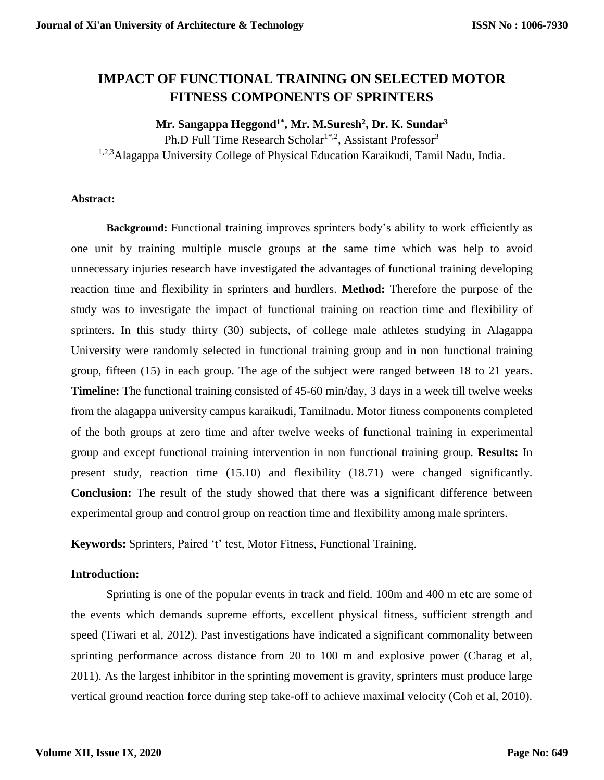# **IMPACT OF FUNCTIONAL TRAINING ON SELECTED MOTOR FITNESS COMPONENTS OF SPRINTERS**

#### **Mr. Sangappa Heggond1\* , Mr. M.Suresh<sup>2</sup> , Dr. K. Sundar<sup>3</sup>**

Ph.D Full Time Research Scholar<sup>1\*,2</sup>, Assistant Professor<sup>3</sup>

1,2,3 Alagappa University College of Physical Education Karaikudi, Tamil Nadu, India.

#### **Abstract:**

**Background:** Functional training improves sprinters body's ability to work efficiently as one unit by training multiple muscle groups at the same time which was help to avoid unnecessary injuries research have investigated the advantages of functional training developing reaction time and flexibility in sprinters and hurdlers. **Method:** Therefore the purpose of the study was to investigate the impact of functional training on reaction time and flexibility of sprinters. In this study thirty (30) subjects, of college male athletes studying in Alagappa University were randomly selected in functional training group and in non functional training group, fifteen (15) in each group. The age of the subject were ranged between 18 to 21 years. **Timeline:** The functional training consisted of 45-60 min/day, 3 days in a week till twelve weeks from the alagappa university campus karaikudi, Tamilnadu. Motor fitness components completed of the both groups at zero time and after twelve weeks of functional training in experimental group and except functional training intervention in non functional training group. **Results:** In present study, reaction time (15.10) and flexibility (18.71) were changed significantly. **Conclusion:** The result of the study showed that there was a significant difference between experimental group and control group on reaction time and flexibility among male sprinters.

**Keywords:** Sprinters, Paired 't' test, Motor Fitness, Functional Training.

#### **Introduction:**

Sprinting is one of the popular events in track and field. 100m and 400 m etc are some of the events which demands supreme efforts, excellent physical fitness, sufficient strength and speed (Tiwari et al, 2012). Past investigations have indicated a significant commonality between sprinting performance across distance from 20 to 100 m and explosive power (Charag et al, 2011). As the largest inhibitor in the sprinting movement is gravity, sprinters must produce large vertical ground reaction force during step take-off to achieve maximal velocity (Coh et al, 2010).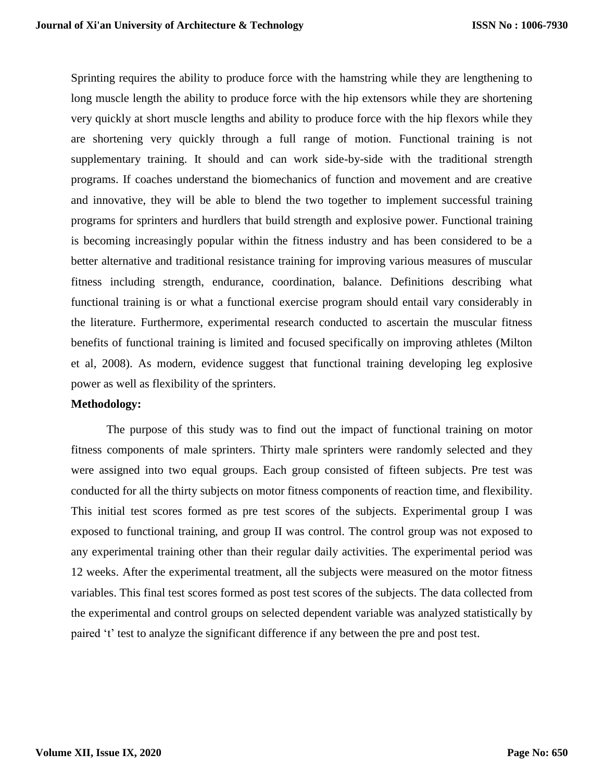Sprinting requires the ability to produce force with the hamstring while they are lengthening to long muscle length the ability to produce force with the hip extensors while they are shortening very quickly at short muscle lengths and ability to produce force with the hip flexors while they are shortening very quickly through a full range of motion. Functional training is not supplementary training. It should and can work side-by-side with the traditional strength programs. If coaches understand the biomechanics of function and movement and are creative and innovative, they will be able to blend the two together to implement successful training programs for sprinters and hurdlers that build strength and explosive power. Functional training is becoming increasingly popular within the fitness industry and has been considered to be a better alternative and traditional resistance training for improving various measures of muscular fitness including strength, endurance, coordination, balance. Definitions describing what functional training is or what a functional exercise program should entail vary considerably in the literature. Furthermore, experimental research conducted to ascertain the muscular fitness benefits of functional training is limited and focused specifically on improving athletes (Milton et al, 2008). As modern, evidence suggest that functional training developing leg explosive power as well as flexibility of the sprinters.

#### **Methodology:**

The purpose of this study was to find out the impact of functional training on motor fitness components of male sprinters. Thirty male sprinters were randomly selected and they were assigned into two equal groups. Each group consisted of fifteen subjects. Pre test was conducted for all the thirty subjects on motor fitness components of reaction time, and flexibility. This initial test scores formed as pre test scores of the subjects. Experimental group I was exposed to functional training, and group II was control. The control group was not exposed to any experimental training other than their regular daily activities. The experimental period was 12 weeks. After the experimental treatment, all the subjects were measured on the motor fitness variables. This final test scores formed as post test scores of the subjects. The data collected from the experimental and control groups on selected dependent variable was analyzed statistically by paired 't' test to analyze the significant difference if any between the pre and post test.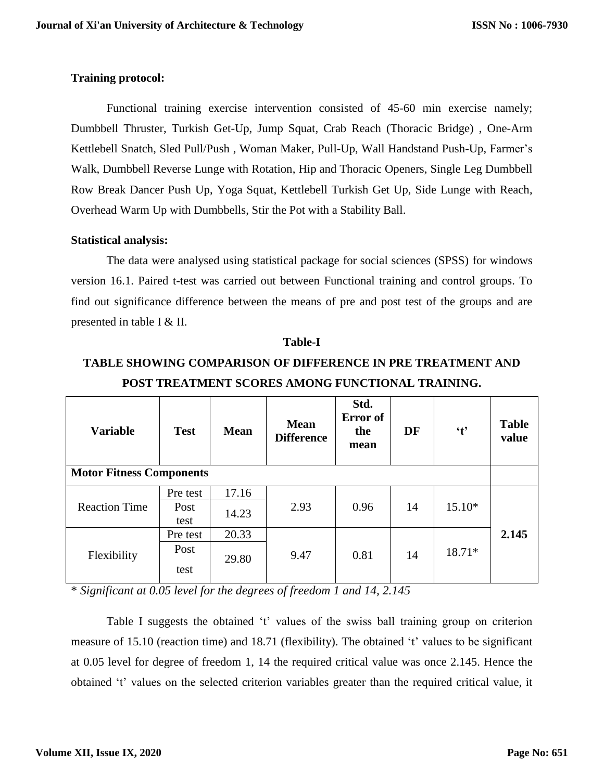### **Training protocol:**

Functional training exercise intervention consisted of 45-60 min exercise namely; Dumbbell Thruster, Turkish Get-Up, Jump Squat, Crab Reach (Thoracic Bridge) , One-Arm Kettlebell Snatch, Sled Pull/Push , Woman Maker, Pull-Up, Wall Handstand Push-Up, Farmer's Walk, Dumbbell Reverse Lunge with Rotation, Hip and Thoracic Openers, Single Leg Dumbbell Row Break Dancer Push Up, Yoga Squat, Kettlebell Turkish Get Up, Side Lunge with Reach, Overhead Warm Up with Dumbbells, Stir the Pot with a Stability Ball.

### **Statistical analysis:**

The data were analysed using statistical package for social sciences (SPSS) for windows version 16.1. Paired t-test was carried out between Functional training and control groups. To find out significance difference between the means of pre and post test of the groups and are presented in table I & II.

| <b>Variable</b>                 | <b>Test</b>  | <b>Mean</b> | <b>Mean</b><br><b>Difference</b> | Std.<br>Error of<br>the<br>mean | DF | $\mathbf{t}$ | <b>Table</b><br>value |  |
|---------------------------------|--------------|-------------|----------------------------------|---------------------------------|----|--------------|-----------------------|--|
| <b>Motor Fitness Components</b> |              |             |                                  |                                 |    |              |                       |  |
| <b>Reaction Time</b>            | Pre test     | 17.16       | 2.93                             | 0.96                            | 14 | $15.10*$     |                       |  |
|                                 | Post<br>test | 14.23       |                                  |                                 |    |              |                       |  |
| Flexibility                     | Pre test     | 20.33       | 9.47                             | 0.81                            | 14 | 18.71*       | 2.145                 |  |
|                                 | Post<br>test | 29.80       |                                  |                                 |    |              |                       |  |

**Table-I**

# **TABLE SHOWING COMPARISON OF DIFFERENCE IN PRE TREATMENT AND POST TREATMENT SCORES AMONG FUNCTIONAL TRAINING.**

\* *Significant at 0.05 level for the degrees of freedom 1 and 14, 2.145*

Table I suggests the obtained 't' values of the swiss ball training group on criterion measure of 15.10 (reaction time) and 18.71 (flexibility). The obtained 't' values to be significant at 0.05 level for degree of freedom 1, 14 the required critical value was once 2.145. Hence the obtained 't' values on the selected criterion variables greater than the required critical value, it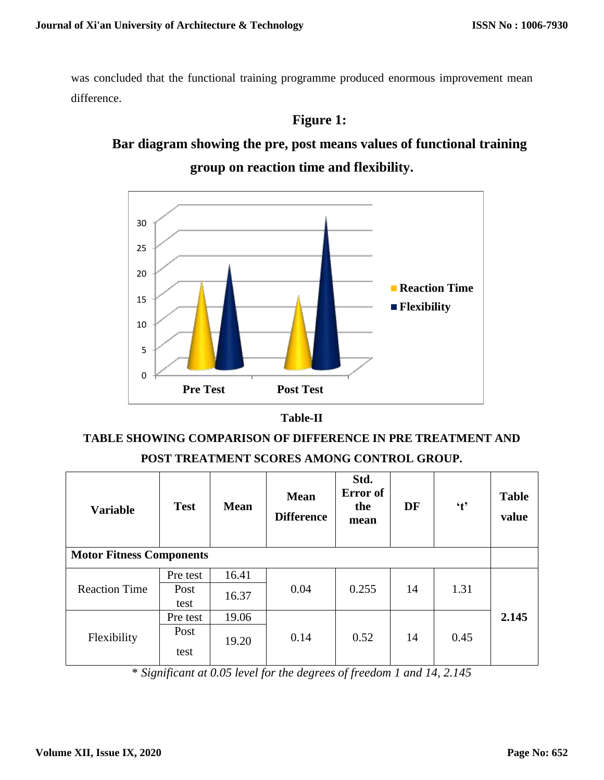was concluded that the functional training programme produced enormous improvement mean difference.

# **Figure 1:**

# **Bar diagram showing the pre, post means values of functional training group on reaction time and flexibility.**





# **TABLE SHOWING COMPARISON OF DIFFERENCE IN PRE TREATMENT AND POST TREATMENT SCORES AMONG CONTROL GROUP.**

| <b>Variable</b><br><b>Motor Fitness Components</b> | <b>Test</b>  | <b>Mean</b> | <b>Mean</b><br><b>Difference</b> | Std.<br>Error of<br>the<br>mean | DF | $\mathbf{t}$ | <b>Table</b><br>value |
|----------------------------------------------------|--------------|-------------|----------------------------------|---------------------------------|----|--------------|-----------------------|
| <b>Reaction Time</b>                               | Pre test     | 16.41       | 0.04                             | 0.255                           | 14 | 1.31         |                       |
|                                                    | Post<br>test | 16.37       |                                  |                                 |    |              |                       |
| Flexibility                                        | Pre test     | 19.06       | 0.14                             | 0.52                            | 14 | 0.45         | 2.145                 |
|                                                    | Post<br>test | 19.20       |                                  |                                 |    |              |                       |

\* *Significant at 0.05 level for the degrees of freedom 1 and 14, 2.145*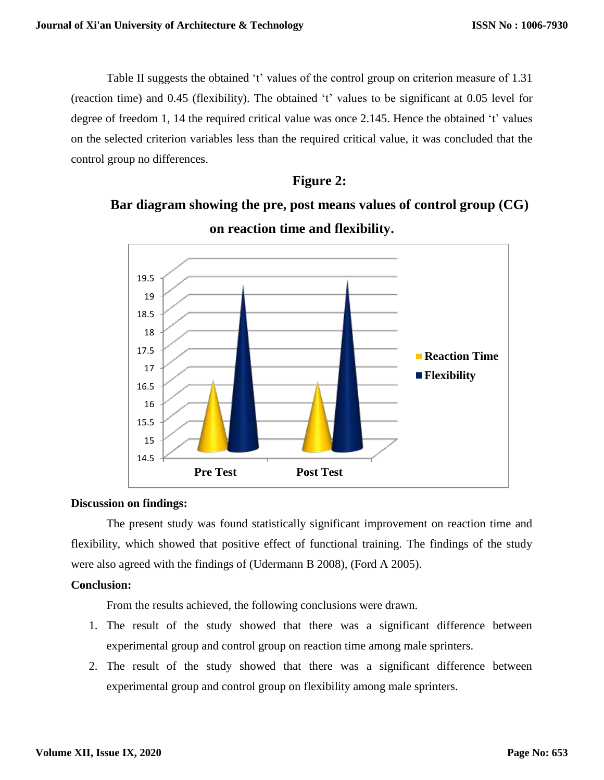Table II suggests the obtained 't' values of the control group on criterion measure of 1.31 (reaction time) and 0.45 (flexibility). The obtained 't' values to be significant at 0.05 level for degree of freedom 1, 14 the required critical value was once 2.145. Hence the obtained 't' values on the selected criterion variables less than the required critical value, it was concluded that the control group no differences.

# **Figure 2:**

# **Bar diagram showing the pre, post means values of control group (CG) on reaction time and flexibility.**



## **Discussion on findings:**

The present study was found statistically significant improvement on reaction time and flexibility, which showed that positive effect of functional training. The findings of the study were also agreed with the findings of (Udermann B 2008), (Ford A 2005).

## **Conclusion:**

From the results achieved, the following conclusions were drawn.

- 1. The result of the study showed that there was a significant difference between experimental group and control group on reaction time among male sprinters.
- 2. The result of the study showed that there was a significant difference between experimental group and control group on flexibility among male sprinters.